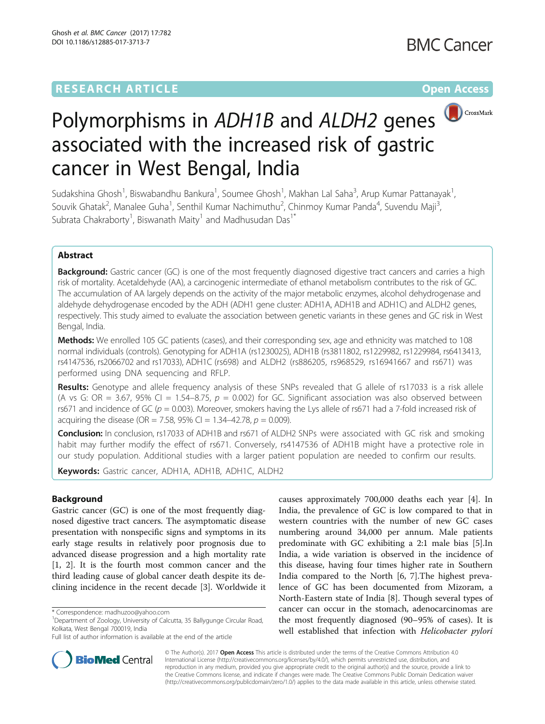## **RESEARCH ARTICLE Example 2014 12:30 The Contract of Contract ACCESS**



# Polymorphisms in ADH1B and ALDH2 genes associated with the increased risk of gastric cancer in West Bengal, India

Sudakshina Ghosh<sup>1</sup>, Biswabandhu Bankura<sup>1</sup>, Soumee Ghosh<sup>1</sup>, Makhan Lal Saha<sup>3</sup>, Arup Kumar Pattanayak<sup>1</sup> , Souvik Ghatak<sup>2</sup>, Manalee Guha<sup>1</sup>, Senthil Kumar Nachimuthu<sup>2</sup>, Chinmoy Kumar Panda<sup>4</sup>, Suvendu Maji<sup>3</sup> , Subrata Chakraborty<sup>1</sup>, Biswanath Maity<sup>1</sup> and Madhusudan Das<sup>1\*</sup>

#### Abstract

**Background:** Gastric cancer (GC) is one of the most frequently diagnosed digestive tract cancers and carries a high risk of mortality. Acetaldehyde (AA), a carcinogenic intermediate of ethanol metabolism contributes to the risk of GC. The accumulation of AA largely depends on the activity of the major metabolic enzymes, alcohol dehydrogenase and aldehyde dehydrogenase encoded by the ADH (ADH1 gene cluster: ADH1A, ADH1B and ADH1C) and ALDH2 genes, respectively. This study aimed to evaluate the association between genetic variants in these genes and GC risk in West Bengal, India.

Methods: We enrolled 105 GC patients (cases), and their corresponding sex, age and ethnicity was matched to 108 normal individuals (controls). Genotyping for ADH1A (rs1230025), ADH1B (rs3811802, rs1229982, rs1229984, rs6413413, rs4147536, rs2066702 and rs17033), ADH1C (rs698) and ALDH2 (rs886205, rs968529, rs16941667 and rs671) was performed using DNA sequencing and RFLP.

Results: Genotype and allele frequency analysis of these SNPs revealed that G allele of rs17033 is a risk allele (A vs G: OR = 3.67, 95% CI = 1.54–8.75,  $p = 0.002$ ) for GC. Significant association was also observed between rs671 and incidence of GC ( $p = 0.003$ ). Moreover, smokers having the Lys allele of rs671 had a 7-fold increased risk of acquiring the disease (OR = 7.58, 95% CI = 1.34-42.78,  $p = 0.009$ ).

Conclusion: In conclusion, rs17033 of ADH1B and rs671 of ALDH2 SNPs were associated with GC risk and smoking habit may further modify the effect of rs671. Conversely, rs4147536 of ADH1B might have a protective role in our study population. Additional studies with a larger patient population are needed to confirm our results.

Keywords: Gastric cancer, ADH1A, ADH1B, ADH1C, ALDH2

#### Background

Gastric cancer (GC) is one of the most frequently diagnosed digestive tract cancers. The asymptomatic disease presentation with nonspecific signs and symptoms in its early stage results in relatively poor prognosis due to advanced disease progression and a high mortality rate [[1,](#page-9-0) [2\]](#page-10-0). It is the fourth most common cancer and the third leading cause of global cancer death despite its declining incidence in the recent decade [[3\]](#page-10-0). Worldwide it causes approximately 700,000 deaths each year [[4\]](#page-10-0). In India, the prevalence of GC is low compared to that in western countries with the number of new GC cases numbering around 34,000 per annum. Male patients predominate with GC exhibiting a 2:1 male bias [[5\]](#page-10-0).In India, a wide variation is observed in the incidence of this disease, having four times higher rate in Southern India compared to the North [[6, 7](#page-10-0)].The highest prevalence of GC has been documented from Mizoram, a North-Eastern state of India [[8\]](#page-10-0). Though several types of cancer can occur in the stomach, adenocarcinomas are the most frequently diagnosed (90–95% of cases). It is well established that infection with Helicobacter pylori



© The Author(s). 2017 **Open Access** This article is distributed under the terms of the Creative Commons Attribution 4.0 International License [\(http://creativecommons.org/licenses/by/4.0/](http://creativecommons.org/licenses/by/4.0/)), which permits unrestricted use, distribution, and reproduction in any medium, provided you give appropriate credit to the original author(s) and the source, provide a link to the Creative Commons license, and indicate if changes were made. The Creative Commons Public Domain Dedication waiver [\(http://creativecommons.org/publicdomain/zero/1.0/](http://creativecommons.org/publicdomain/zero/1.0/)) applies to the data made available in this article, unless otherwise stated.

<sup>\*</sup> Correspondence: [madhuzoo@yahoo.com](mailto:madhuzoo@yahoo.com) <sup>1</sup>

<sup>&</sup>lt;sup>1</sup>Department of Zoology, University of Calcutta, 35 Ballygunge Circular Road, Kolkata, West Bengal 700019, India

Full list of author information is available at the end of the article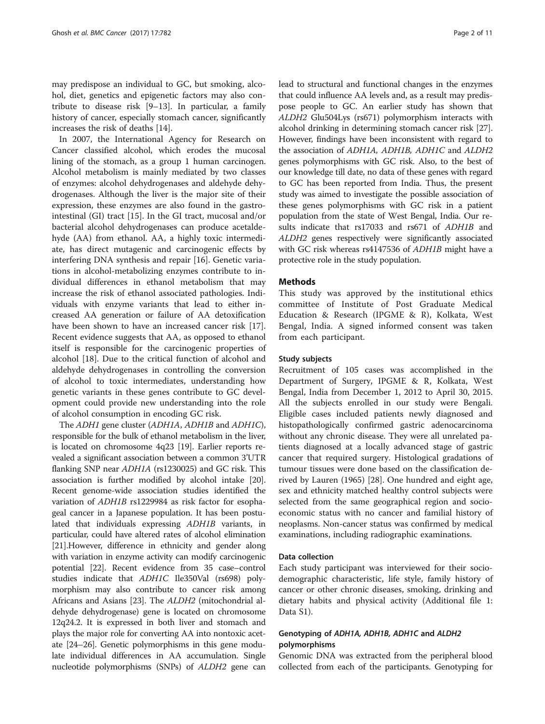may predispose an individual to GC, but smoking, alcohol, diet, genetics and epigenetic factors may also contribute to disease risk [\[9](#page-10-0)–[13](#page-10-0)]. In particular, a family history of cancer, especially stomach cancer, significantly increases the risk of deaths [[14](#page-10-0)].

In 2007, the International Agency for Research on Cancer classified alcohol, which erodes the mucosal lining of the stomach, as a group 1 human carcinogen. Alcohol metabolism is mainly mediated by two classes of enzymes: alcohol dehydrogenases and aldehyde dehydrogenases. Although the liver is the major site of their expression, these enzymes are also found in the gastrointestinal (GI) tract [\[15](#page-10-0)]. In the GI tract, mucosal and/or bacterial alcohol dehydrogenases can produce acetaldehyde (AA) from ethanol. AA, a highly toxic intermediate, has direct mutagenic and carcinogenic effects by interfering DNA synthesis and repair [[16](#page-10-0)]. Genetic variations in alcohol-metabolizing enzymes contribute to individual differences in ethanol metabolism that may increase the risk of ethanol associated pathologies. Individuals with enzyme variants that lead to either increased AA generation or failure of AA detoxification have been shown to have an increased cancer risk [\[17](#page-10-0)]. Recent evidence suggests that AA, as opposed to ethanol itself is responsible for the carcinogenic properties of alcohol [\[18\]](#page-10-0). Due to the critical function of alcohol and aldehyde dehydrogenases in controlling the conversion of alcohol to toxic intermediates, understanding how genetic variants in these genes contribute to GC development could provide new understanding into the role of alcohol consumption in encoding GC risk.

The *ADH1* gene cluster (*ADH1A*, *ADH1B* and *ADH1C*), responsible for the bulk of ethanol metabolism in the liver, is located on chromosome 4q23 [\[19\]](#page-10-0). Earlier reports revealed a significant association between a common 3'UTR flanking SNP near ADH1A (rs1230025) and GC risk. This association is further modified by alcohol intake [[20](#page-10-0)]. Recent genome-wide association studies identified the variation of ADH1B rs1229984 as risk factor for esophageal cancer in a Japanese population. It has been postulated that individuals expressing ADH1B variants, in particular, could have altered rates of alcohol elimination [[21](#page-10-0)].However, difference in ethnicity and gender along with variation in enzyme activity can modify carcinogenic potential [\[22\]](#page-10-0). Recent evidence from 35 case–control studies indicate that ADH1C Ile350Val (rs698) polymorphism may also contribute to cancer risk among Africans and Asians [\[23\]](#page-10-0). The ALDH2 (mitochondrial aldehyde dehydrogenase) gene is located on chromosome 12q24.2. It is expressed in both liver and stomach and plays the major role for converting AA into nontoxic acetate [\[24](#page-10-0)–[26\]](#page-10-0). Genetic polymorphisms in this gene modulate individual differences in AA accumulation. Single nucleotide polymorphisms (SNPs) of ALDH2 gene can lead to structural and functional changes in the enzymes that could influence AA levels and, as a result may predispose people to GC. An earlier study has shown that ALDH2 Glu504Lys (rs671) polymorphism interacts with alcohol drinking in determining stomach cancer risk [[27](#page-10-0)]. However, findings have been inconsistent with regard to the association of ADH1A, ADH1B, ADH1C and ALDH2 genes polymorphisms with GC risk. Also, to the best of our knowledge till date, no data of these genes with regard to GC has been reported from India. Thus, the present study was aimed to investigate the possible association of these genes polymorphisms with GC risk in a patient population from the state of West Bengal, India. Our results indicate that rs17033 and rs671 of ADH1B and ALDH2 genes respectively were significantly associated with GC risk whereas rs4147536 of ADH1B might have a protective role in the study population.

#### Methods

This study was approved by the institutional ethics committee of Institute of Post Graduate Medical Education & Research (IPGME & R), Kolkata, West Bengal, India. A signed informed consent was taken from each participant.

#### Study subjects

Recruitment of 105 cases was accomplished in the Department of Surgery, IPGME & R, Kolkata, West Bengal, India from December 1, 2012 to April 30, 2015. All the subjects enrolled in our study were Bengali. Eligible cases included patients newly diagnosed and histopathologically confirmed gastric adenocarcinoma without any chronic disease. They were all unrelated patients diagnosed at a locally advanced stage of gastric cancer that required surgery. Histological gradations of tumour tissues were done based on the classification derived by Lauren (1965) [\[28\]](#page-10-0). One hundred and eight age, sex and ethnicity matched healthy control subjects were selected from the same geographical region and socioeconomic status with no cancer and familial history of neoplasms. Non-cancer status was confirmed by medical examinations, including radiographic examinations.

#### Data collection

Each study participant was interviewed for their sociodemographic characteristic, life style, family history of cancer or other chronic diseases, smoking, drinking and dietary habits and physical activity (Additional file [1](#page-9-0): Data S1).

#### Genotyping of ADH1A, ADH1B, ADH1C and ALDH2 polymorphisms

Genomic DNA was extracted from the peripheral blood collected from each of the participants. Genotyping for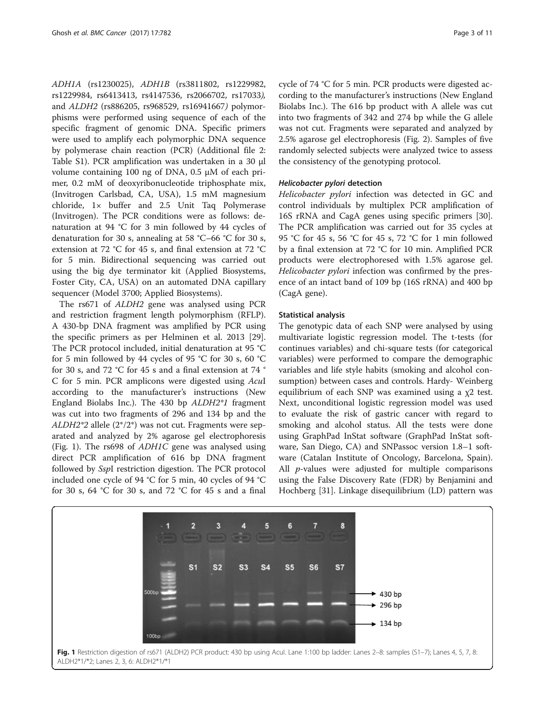ADH1A (rs1230025), ADH1B (rs3811802, rs1229982, rs1229984, rs6413413, rs4147536, rs2066702, rs17033), and ALDH2 (rs886205, rs968529, rs16941667) polymorphisms were performed using sequence of each of the specific fragment of genomic DNA. Specific primers were used to amplify each polymorphic DNA sequence by polymerase chain reaction (PCR) (Additional file [2](#page-9-0): Table S1). PCR amplification was undertaken in a 30 μl volume containing 100 ng of DNA, 0.5 μM of each primer, 0.2 mM of deoxyribonucleotide triphosphate mix, (Invitrogen Carlsbad, CA, USA), 1.5 mM magnesium chloride, 1× buffer and 2.5 Unit Taq Polymerase (Invitrogen). The PCR conditions were as follows: denaturation at 94 °C for 3 min followed by 44 cycles of denaturation for 30 s, annealing at 58 °C–66 °C for 30 s, extension at 72 °C for 45 s, and final extension at 72 °C for 5 min. Bidirectional sequencing was carried out using the big dye terminator kit (Applied Biosystems, Foster City, CA, USA) on an automated DNA capillary sequencer (Model 3700; Applied Biosystems).

The rs671 of ALDH2 gene was analysed using PCR and restriction fragment length polymorphism (RFLP). A 430-bp DNA fragment was amplified by PCR using the specific primers as per Helminen et al. 2013 [\[29](#page-10-0)]. The PCR protocol included, initial denaturation at 95 °C for 5 min followed by 44 cycles of 95 °C for 30 s, 60 °C for 30 s, and 72 °C for 45 s and a final extension at 74 ° C for 5 min. PCR amplicons were digested using AcuI according to the manufacturer's instructions (New England Biolabs Inc.). The 430 bp ALDH2\*1 fragment was cut into two fragments of 296 and 134 bp and the ALDH2\*2 allele (2\*/2\*) was not cut. Fragments were separated and analyzed by 2% agarose gel electrophoresis (Fig. 1). The rs698 of ADH1C gene was analysed using direct PCR amplification of 616 bp DNA fragment followed by SspI restriction digestion. The PCR protocol included one cycle of 94 °C for 5 min, 40 cycles of 94 °C for 30 s, 64 °C for 30 s, and 72 °C for 45 s and a final cycle of 74 °C for 5 min. PCR products were digested according to the manufacturer's instructions (New England Biolabs Inc.). The 616 bp product with A allele was cut into two fragments of 342 and 274 bp while the G allele was not cut. Fragments were separated and analyzed by 2.5% agarose gel electrophoresis (Fig. [2](#page-3-0)). Samples of five randomly selected subjects were analyzed twice to assess the consistency of the genotyping protocol.

#### Helicobacter pylori detection

Helicobacter pylori infection was detected in GC and control individuals by multiplex PCR amplification of 16S rRNA and CagA genes using specific primers [\[30](#page-10-0)]. The PCR amplification was carried out for 35 cycles at 95 °C for 45 s, 56 °C for 45 s, 72 °C for 1 min followed by a final extension at 72 °C for 10 min. Amplified PCR products were electrophoresed with 1.5% agarose gel. Helicobacter pylori infection was confirmed by the presence of an intact band of 109 bp (16S rRNA) and 400 bp (CagA gene).

#### Statistical analysis

The genotypic data of each SNP were analysed by using multivariate logistic regression model. The t-tests (for continues variables) and chi-square tests (for categorical variables) were performed to compare the demographic variables and life style habits (smoking and alcohol consumption) between cases and controls. Hardy- Weinberg equilibrium of each SNP was examined using a χ2 test. Next, unconditional logistic regression model was used to evaluate the risk of gastric cancer with regard to smoking and alcohol status. All the tests were done using GraphPad InStat software (GraphPad InStat software, San Diego, CA) and SNPassoc version 1.8–1 software (Catalan Institute of Oncology, Barcelona, Spain). All  $p$ -values were adjusted for multiple comparisons using the False Discovery Rate (FDR) by Benjamini and Hochberg [[31](#page-10-0)]. Linkage disequilibrium (LD) pattern was

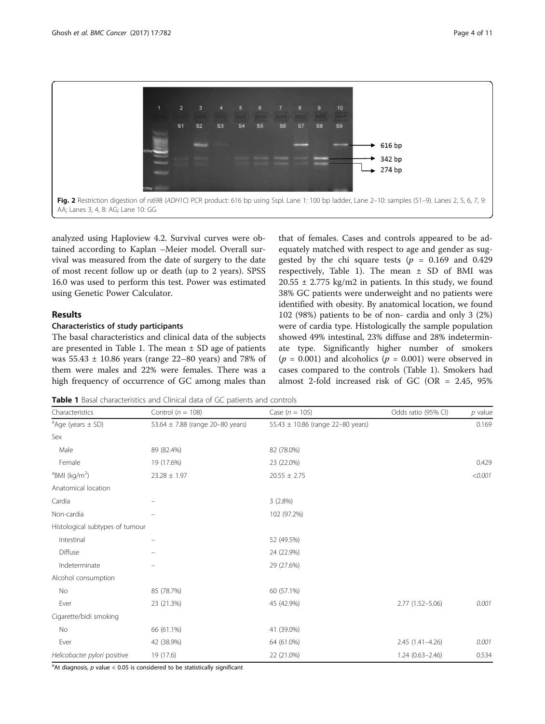<span id="page-3-0"></span>

analyzed using Haploview 4.2. Survival curves were obtained according to Kaplan –Meier model. Overall survival was measured from the date of surgery to the date of most recent follow up or death (up to 2 years). SPSS 16.0 was used to perform this test. Power was estimated using Genetic Power Calculator.

#### Results

#### Characteristics of study participants

The basal characteristics and clinical data of the subjects are presented in Table 1. The mean  $\pm$  SD age of patients was  $55.43 \pm 10.86$  years (range 22–80 years) and 78% of them were males and 22% were females. There was a high frequency of occurrence of GC among males than

that of females. Cases and controls appeared to be adequately matched with respect to age and gender as suggested by the chi square tests ( $p = 0.169$  and 0.429 respectively, Table 1). The mean  $\pm$  SD of BMI was  $20.55 \pm 2.775$  kg/m2 in patients. In this study, we found 38% GC patients were underweight and no patients were identified with obesity. By anatomical location, we found 102 (98%) patients to be of non- cardia and only 3 (2%) were of cardia type. Histologically the sample population showed 49% intestinal, 23% diffuse and 28% indeterminate type. Significantly higher number of smokers  $(p = 0.001)$  and alcoholics  $(p = 0.001)$  were observed in cases compared to the controls (Table 1). Smokers had almost 2-fold increased risk of GC (OR = 2.45, 95%

**Table 1** Basal characteristics and Clinical data of GC patients and controls

| Characteristics                     | Control ( $n = 108$ )            | Case ( $n = 105$ )                | Odds ratio (95% CI) | $p$ value |
|-------------------------------------|----------------------------------|-----------------------------------|---------------------|-----------|
| $^{\circ}$ Age (years $\pm$ SD)     | 53.64 ± 7.88 (range 20-80 years) | 55.43 ± 10.86 (range 22-80 years) |                     | 0.169     |
| Sex                                 |                                  |                                   |                     |           |
| Male                                | 89 (82.4%)                       | 82 (78.0%)                        |                     |           |
| Female                              | 19 (17.6%)                       | 23 (22.0%)                        |                     | 0.429     |
| $\mathrm{BMI}$ (kg/m <sup>2</sup> ) | $23.28 \pm 1.97$                 | $20.55 \pm 2.75$                  |                     | < 0.001   |
| Anatomical location                 |                                  |                                   |                     |           |
| Cardia                              |                                  | 3(2.8%)                           |                     |           |
| Non-cardia                          |                                  | 102 (97.2%)                       |                     |           |
| Histological subtypes of tumour     |                                  |                                   |                     |           |
| Intestinal                          |                                  | 52 (49.5%)                        |                     |           |
| Diffuse                             |                                  | 24 (22.9%)                        |                     |           |
| Indeterminate                       |                                  | 29 (27.6%)                        |                     |           |
| Alcohol consumption                 |                                  |                                   |                     |           |
| No                                  | 85 (78.7%)                       | 60 (57.1%)                        |                     |           |
| Ever                                | 23 (21.3%)                       | 45 (42.9%)                        | $2.77(1.52 - 5.06)$ | 0.001     |
| Cigarette/bidi smoking              |                                  |                                   |                     |           |
| No                                  | 66 (61.1%)                       | 41 (39.0%)                        |                     |           |
| Ever                                | 42 (38.9%)                       | 64 (61.0%)                        | $2.45(1.41 - 4.26)$ | 0.001     |
| Helicobacter pylori positive        | 19 (17.6)                        | 22 (21.0%)                        | $1.24(0.63 - 2.46)$ | 0.534     |

<sup>a</sup>At diagnosis,  $p$  value  $< 0.05$  is considered to be statistically significant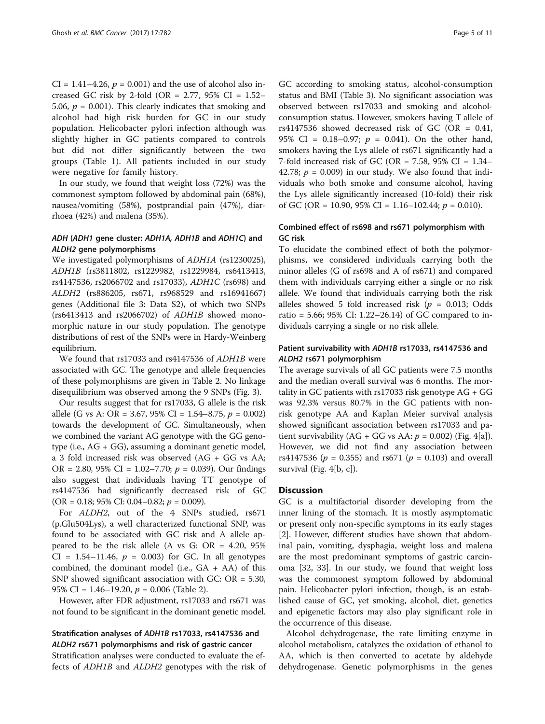$CI = 1.41-4.26$ ,  $p = 0.001$ ) and the use of alcohol also increased GC risk by 2-fold (OR = 2.77, 95% CI =  $1.52-$ 5.06,  $p = 0.001$ ). This clearly indicates that smoking and alcohol had high risk burden for GC in our study population. Helicobacter pylori infection although was slightly higher in GC patients compared to controls but did not differ significantly between the two groups (Table [1\)](#page-3-0). All patients included in our study were negative for family history.

In our study, we found that weight loss (72%) was the commonest symptom followed by abdominal pain (68%), nausea/vomiting (58%), postprandial pain (47%), diarrhoea (42%) and malena (35%).

#### ADH (ADH1 gene cluster: ADH1A, ADH1B and ADH1C) and ALDH2 gene polymorphisms

We investigated polymorphisms of *ADH1A* (rs1230025), ADH1B (rs3811802, rs1229982, rs1229984, rs6413413, rs4147536, rs2066702 and rs17033), ADH1C (rs698) and ALDH2 (rs886205, rs671, rs968529 and rs16941667) genes (Additional file [3:](#page-9-0) Data S2), of which two SNPs (rs6413413 and rs2066702) of ADH1B showed monomorphic nature in our study population. The genotype distributions of rest of the SNPs were in [Hardy-Weinberg](http://www.nature.com/scitable/definition/hardy-weinberg-equilibrium-122) [equilibrium](http://www.nature.com/scitable/definition/hardy-weinberg-equilibrium-122).

We found that rs17033 and rs4147536 of ADH1B were associated with GC. The genotype and allele frequencies of these polymorphisms are given in Table [2](#page-5-0). No linkage disequilibrium was observed among the 9 SNPs (Fig. [3\)](#page-6-0).

Our results suggest that for rs17033, G allele is the risk allele (G vs A: OR = 3.67, 95% CI = 1.54–8.75,  $p = 0.002$ ) towards the development of GC. Simultaneously, when we combined the variant AG genotype with the GG genotype (i.e., AG + GG), assuming a dominant genetic model, a 3 fold increased risk was observed (AG + GG vs AA; OR = 2.80, 95% CI = 1.02-7.70;  $p = 0.039$ ). Our findings also suggest that individuals having TT genotype of rs4147536 had significantly decreased risk of GC  $(OR = 0.18; 95\% CI: 0.04–0.82; p = 0.009).$ 

For ALDH2, out of the 4 SNPs studied, rs671 ([p.Glu504Lys\)](http://www.ncbi.nlm.nih.gov/projects/sviewer/?id=NP_000681.2&search=NP_000681.2:p.Glu504Lys&v=1:100&content=5), a well characterized functional SNP, was found to be associated with GC risk and A allele appeared to be the risk allele (A vs G: OR = 4.20, 95%  $CI = 1.54 - 11.46$ ,  $p = 0.003$  for GC. In all genotypes combined, the dominant model (i.e.,  $GA + AA$ ) of this SNP showed significant association with GC:  $OR = 5.30$ , 95% CI =  $1.46-19.20$ ,  $p = 0.006$  (Table [2](#page-5-0)).

However, after FDR adjustment, rs17033 and rs671 was not found to be significant in the dominant genetic model.

#### Stratification analyses of ADH1B rs17033, rs4147536 and ALDH2 rs671 polymorphisms and risk of gastric cancer

Stratification analyses were conducted to evaluate the effects of ADH1B and ALDH2 genotypes with the risk of

GC according to smoking status, alcohol-consumption status and BMI (Table [3](#page-7-0)). No significant association was observed between rs17033 and smoking and alcoholconsumption status. However, smokers having T allele of rs4147536 showed decreased risk of GC (OR = 0.41, 95% CI = 0.18-0.97;  $p = 0.041$ ). On the other hand, smokers having the Lys allele of rs671 significantly had a 7-fold increased risk of GC (OR =  $7.58$ ,  $95\%$  CI =  $1.34-$ 42.78;  $p = 0.009$ ) in our study. We also found that individuals who both smoke and consume alcohol, having the Lys allele significantly increased (10-fold) their risk of GC (OR = 10.90, 95% CI = 1.16–102.44;  $p = 0.010$ ).

#### Combined effect of rs698 and rs671 polymorphism with GC risk

To elucidate the combined effect of both the polymorphisms, we considered individuals carrying both the minor alleles (G of rs698 and A of rs671) and compared them with individuals carrying either a single or no risk allele. We found that individuals carrying both the risk alleles showed 5 fold increased risk ( $p = 0.013$ ; Odds ratio = 5.66; 95% CI: 1.22–26.14) of GC compared to individuals carrying a single or no risk allele.

#### Patient survivability with ADH1B rs17033, rs4147536 and ALDH2 rs671 polymorphism

The average survivals of all GC patients were 7.5 months and the median overall survival was 6 months. The mortality in GC patients with rs17033 risk genotype AG + GG was 92.3% versus 80.7% in the GC patients with nonrisk genotype AA and Kaplan Meier survival analysis showed significant association between rs17033 and patient survivability (AG + GG vs AA:  $p = 0.002$ ) (Fig. [4\[a](#page-8-0)]). However, we did not find any association between rs4147536 ( $p = 0.355$ ) and rs671 ( $p = 0.103$ ) and overall survival (Fig. [4\[b](#page-8-0), [c\]](#page-8-0)).

#### **Discussion**

GC is a multifactorial disorder developing from the inner lining of the stomach. It is mostly asymptomatic or present only non-specific symptoms in its early stages [[2\]](#page-10-0). However, different studies have shown that abdominal pain, vomiting, dysphagia, weight loss and malena are the most predominant symptoms of gastric carcinoma [\[32, 33](#page-10-0)]. In our study, we found that weight loss was the commonest symptom followed by abdominal pain. Helicobacter pylori infection, though, is an established cause of GC, yet smoking, alcohol, diet, genetics and epigenetic factors may also play significant role in the occurrence of this disease.

Alcohol dehydrogenase, the rate limiting enzyme in alcohol metabolism, catalyzes the oxidation of ethanol to AA, which is then converted to acetate by aldehyde dehydrogenase. Genetic polymorphisms in the genes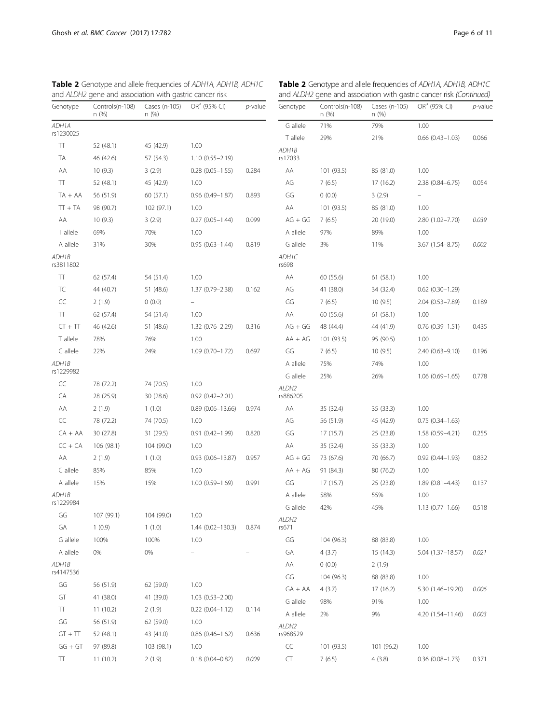<span id="page-5-0"></span>

| Controls(n-108)<br>Cases (n-105)<br>OR <sup>a</sup> (95% CI)<br>Controls(n-108)<br>Cases (n-105)<br>OR <sup>a</sup> (95% CI)<br>$p$ -value<br>Genotype<br>Genotype<br>n (%)<br>n (%)<br>n (%)<br>n (%)<br>ADH1A<br>G allele<br>71%<br>79%<br>1.00<br>rs1230025<br>T allele<br>21%<br>29%<br>0.066<br>$0.66$ $(0.43 - 1.03)$<br>π<br>1.00<br>52 (48.1)<br>45 (42.9)<br>ADH1B<br>TA<br>46 (42.6)<br>rs17033<br>57 (54.3)<br>$1.10(0.55 - 2.19)$<br>AA<br>0.284<br>AA<br>101 (93.5)<br>85 (81.0)<br>1.00<br>10(9.3)<br>3(2.9)<br>$0.28(0.05 - 1.55)$<br>TΤ<br>45 (42.9)<br>1.00<br>AG<br>7(6.5)<br>0.054<br>52 (48.1)<br>17(16.2)<br>2.38 (0.84-6.75)<br>$TA + AA$<br>$0.96(0.49 - 1.87)$<br>0.893<br>GG<br>(0.0)<br>3(2.9)<br>56 (51.9)<br>60 (57.1)<br>$\overline{\phantom{a}}$<br>$TT + TA$<br>98 (90.7)<br>102 (97.1)<br>1.00<br>AA<br>101 (93.5)<br>85 (81.0)<br>1.00<br>AA<br>3(2.9)<br>$0.27(0.05 - 1.44)$<br>0.099<br>$AG + GG$<br>7(6.5)<br>20 (19.0)<br>0.039<br>10(9.3)<br>2.80 (1.02-7.70)<br>T allele<br>69%<br>70%<br>1.00<br>A allele<br>97%<br>89%<br>1.00<br>A allele<br>31%<br>30%<br>0.819<br>G allele<br>3%<br>11%<br>0.002<br>$0.95(0.63 - 1.44)$<br>3.67 (1.54-8.75)<br>ADH1B<br>ADH1C<br>rs3811802<br>rs698<br>1.00<br>1.00<br>Π<br>62 (57.4)<br>54 (51.4)<br>AA<br>60 (55.6)<br>61 (58.1)<br>TC<br>AG<br>41 (38.0)<br>44 (40.7)<br>51 (48.6)<br>1.37 (0.79-2.38)<br>0.162<br>34 (32.4)<br>$0.62$ $(0.30-1.29)$<br>CC<br>0(0.0)<br>GG<br>7(6.5)<br>10(9.5)<br>0.189<br>2(1.9)<br>2.04 (0.53-7.89)<br>$\qquad \qquad -$<br>$\top\top$<br>1.00<br>AA<br>1.00<br>62 (57.4)<br>54 (51.4)<br>60 (55.6)<br>61 (58.1)<br>$CT + TT$<br>$AG + GG$<br>46 (42.6)<br>51 (48.6)<br>1.32 (0.76-2.29)<br>0.316<br>48 (44.4)<br>44 (41.9)<br>$0.76(0.39 - 1.51)$<br>0.435<br>T allele<br>78%<br>76%<br>1.00<br>1.00<br>$AA + AG$<br>101 (93.5)<br>95 (90.5)<br>C allele<br>22%<br>24%<br>0.697<br>GG<br>$1.09(0.70 - 1.72)$<br>7(6.5)<br>10(9.5)<br>2.40 (0.63-9.10)<br>0.196<br>ADH1B<br>A allele<br>75%<br>74%<br>1.00<br>rs1229982<br>G allele<br>25%<br>26%<br>$1.06(0.69 - 1.65)$<br>0.778<br>CC<br>1.00<br>78 (72.2)<br>74 (70.5)<br>ALDH2<br>CA<br>28 (25.9)<br>30 (28.6)<br>$0.92$ $(0.42 - 2.01)$<br>rs886205<br>AA<br>1.00<br>2(1.9)<br>1(1.0)<br>$0.89(0.06 - 13.66)$<br>0.974<br>AA<br>35 (32.4)<br>35 (33.3)<br>CC<br>1.00<br>AG<br>78 (72.2)<br>74 (70.5)<br>56 (51.9)<br>45 (42.9)<br>$0.75(0.34 - 1.63)$<br>0.820<br>GG<br>0.255<br>$CA + AA$<br>30 (27.8)<br>31 (29.5)<br>$0.91(0.42 - 1.99)$<br>17(15.7)<br>25 (23.8)<br>1.58 (0.59-4.21)<br>$CC + CA$<br>1.00<br>AA<br>1.00<br>106 (98.1)<br>104 (99.0)<br>35 (32.4)<br>35 (33.3)<br>AA<br>$AG + GG$<br>2(1.9)<br>1(1.0)<br>$0.93$ $(0.06 - 13.87)$<br>0.957<br>73 (67.6)<br>70 (66.7)<br>$0.92(0.44 - 1.93)$<br>0.832<br>C allele<br>85%<br>85%<br>1.00<br>$AA + AG$<br>1.00<br>91 (84.3)<br>80 (76.2)<br>A allele<br>15%<br>15%<br>0.991<br>GG<br>17 (15.7)<br>$1.00(0.59 - 1.69)$<br>25 (23.8)<br>$1.89(0.81 - 4.43)$<br>0.137<br>ADH1B<br>A allele<br>1.00<br>55%<br>58%<br>rs1229984<br>G allele<br>45%<br>42%<br>$1.13(0.77 - 1.66)$<br>0.518<br>GG<br>107 (99.1)<br>104 (99.0)<br>1.00<br>ALDH2<br>GA<br>1(0.9)<br>$1.44(0.02 - 130.3)$<br>0.874<br>rs671<br>1(1.0)<br>G allele<br>GG<br>104 (96.3)<br>88 (83.8)<br>1.00<br>100%<br>100%<br>1.00<br>A allele<br>0%<br>0%<br>GA<br>4(3.7)<br>15 (14.3)<br>5.04 (1.37-18.57)<br>0.021<br>ADH1B<br>AA<br>0(0.0)<br>2(1.9)<br>rs4147536<br>GG<br>1.00<br>104 (96.3)<br>88 (83.8)<br>GG<br>1.00<br>56 (51.9)<br>62 (59.0)<br>$GA + AA$<br>17 (16.2)<br>0.006<br>4(3.7)<br>5.30 (1.46-19.20)<br>GT<br>41 (38.0)<br>41 (39.0)<br>$1.03(0.53 - 2.00)$<br>91%<br>G allele<br>98%<br>1.00<br>Π<br>11(10.2)<br>2(1.9)<br>$0.22$ $(0.04 - 1.12)$<br>0.114<br>A allele<br>9%<br>0.003<br>2%<br>4.20 (1.54-11.46)<br>GG<br>56 (51.9)<br>62 (59.0)<br>1.00<br>ALDH <sub>2</sub> | Table 2 Genotype and allele frequencies of ADH1A, ADH1B, ADH1C<br>and ALDH2 gene and association with gastric cancer risk |  |           |                    | Table 2 Genotype and allele frequencies of ADH1A, ADH1B, ADH1C<br>and ALDH2 gene and association with gastric cancer risk (Continued) |          |  |  |  |            |
|------------------------------------------------------------------------------------------------------------------------------------------------------------------------------------------------------------------------------------------------------------------------------------------------------------------------------------------------------------------------------------------------------------------------------------------------------------------------------------------------------------------------------------------------------------------------------------------------------------------------------------------------------------------------------------------------------------------------------------------------------------------------------------------------------------------------------------------------------------------------------------------------------------------------------------------------------------------------------------------------------------------------------------------------------------------------------------------------------------------------------------------------------------------------------------------------------------------------------------------------------------------------------------------------------------------------------------------------------------------------------------------------------------------------------------------------------------------------------------------------------------------------------------------------------------------------------------------------------------------------------------------------------------------------------------------------------------------------------------------------------------------------------------------------------------------------------------------------------------------------------------------------------------------------------------------------------------------------------------------------------------------------------------------------------------------------------------------------------------------------------------------------------------------------------------------------------------------------------------------------------------------------------------------------------------------------------------------------------------------------------------------------------------------------------------------------------------------------------------------------------------------------------------------------------------------------------------------------------------------------------------------------------------------------------------------------------------------------------------------------------------------------------------------------------------------------------------------------------------------------------------------------------------------------------------------------------------------------------------------------------------------------------------------------------------------------------------------------------------------------------------------------------------------------------------------------------------------------------------------------------------------------------------------------------------------------------------------------------------------------------------------------------------------------------------------------------------------------------------------------------------------------------------------------------------------------------------------------------------------------------------------------------------------------------------------------------------------------------------------------------------------------------------------------------------------------------------------------------------------------------------------------|---------------------------------------------------------------------------------------------------------------------------|--|-----------|--------------------|---------------------------------------------------------------------------------------------------------------------------------------|----------|--|--|--|------------|
|                                                                                                                                                                                                                                                                                                                                                                                                                                                                                                                                                                                                                                                                                                                                                                                                                                                                                                                                                                                                                                                                                                                                                                                                                                                                                                                                                                                                                                                                                                                                                                                                                                                                                                                                                                                                                                                                                                                                                                                                                                                                                                                                                                                                                                                                                                                                                                                                                                                                                                                                                                                                                                                                                                                                                                                                                                                                                                                                                                                                                                                                                                                                                                                                                                                                                                                                                                                                                                                                                                                                                                                                                                                                                                                                                                                                                                                                                                |                                                                                                                           |  |           |                    |                                                                                                                                       |          |  |  |  | $p$ -value |
|                                                                                                                                                                                                                                                                                                                                                                                                                                                                                                                                                                                                                                                                                                                                                                                                                                                                                                                                                                                                                                                                                                                                                                                                                                                                                                                                                                                                                                                                                                                                                                                                                                                                                                                                                                                                                                                                                                                                                                                                                                                                                                                                                                                                                                                                                                                                                                                                                                                                                                                                                                                                                                                                                                                                                                                                                                                                                                                                                                                                                                                                                                                                                                                                                                                                                                                                                                                                                                                                                                                                                                                                                                                                                                                                                                                                                                                                                                |                                                                                                                           |  |           |                    |                                                                                                                                       |          |  |  |  |            |
|                                                                                                                                                                                                                                                                                                                                                                                                                                                                                                                                                                                                                                                                                                                                                                                                                                                                                                                                                                                                                                                                                                                                                                                                                                                                                                                                                                                                                                                                                                                                                                                                                                                                                                                                                                                                                                                                                                                                                                                                                                                                                                                                                                                                                                                                                                                                                                                                                                                                                                                                                                                                                                                                                                                                                                                                                                                                                                                                                                                                                                                                                                                                                                                                                                                                                                                                                                                                                                                                                                                                                                                                                                                                                                                                                                                                                                                                                                |                                                                                                                           |  |           |                    |                                                                                                                                       |          |  |  |  |            |
|                                                                                                                                                                                                                                                                                                                                                                                                                                                                                                                                                                                                                                                                                                                                                                                                                                                                                                                                                                                                                                                                                                                                                                                                                                                                                                                                                                                                                                                                                                                                                                                                                                                                                                                                                                                                                                                                                                                                                                                                                                                                                                                                                                                                                                                                                                                                                                                                                                                                                                                                                                                                                                                                                                                                                                                                                                                                                                                                                                                                                                                                                                                                                                                                                                                                                                                                                                                                                                                                                                                                                                                                                                                                                                                                                                                                                                                                                                |                                                                                                                           |  |           |                    |                                                                                                                                       |          |  |  |  |            |
|                                                                                                                                                                                                                                                                                                                                                                                                                                                                                                                                                                                                                                                                                                                                                                                                                                                                                                                                                                                                                                                                                                                                                                                                                                                                                                                                                                                                                                                                                                                                                                                                                                                                                                                                                                                                                                                                                                                                                                                                                                                                                                                                                                                                                                                                                                                                                                                                                                                                                                                                                                                                                                                                                                                                                                                                                                                                                                                                                                                                                                                                                                                                                                                                                                                                                                                                                                                                                                                                                                                                                                                                                                                                                                                                                                                                                                                                                                |                                                                                                                           |  |           |                    |                                                                                                                                       |          |  |  |  |            |
|                                                                                                                                                                                                                                                                                                                                                                                                                                                                                                                                                                                                                                                                                                                                                                                                                                                                                                                                                                                                                                                                                                                                                                                                                                                                                                                                                                                                                                                                                                                                                                                                                                                                                                                                                                                                                                                                                                                                                                                                                                                                                                                                                                                                                                                                                                                                                                                                                                                                                                                                                                                                                                                                                                                                                                                                                                                                                                                                                                                                                                                                                                                                                                                                                                                                                                                                                                                                                                                                                                                                                                                                                                                                                                                                                                                                                                                                                                |                                                                                                                           |  |           |                    |                                                                                                                                       |          |  |  |  |            |
|                                                                                                                                                                                                                                                                                                                                                                                                                                                                                                                                                                                                                                                                                                                                                                                                                                                                                                                                                                                                                                                                                                                                                                                                                                                                                                                                                                                                                                                                                                                                                                                                                                                                                                                                                                                                                                                                                                                                                                                                                                                                                                                                                                                                                                                                                                                                                                                                                                                                                                                                                                                                                                                                                                                                                                                                                                                                                                                                                                                                                                                                                                                                                                                                                                                                                                                                                                                                                                                                                                                                                                                                                                                                                                                                                                                                                                                                                                |                                                                                                                           |  |           |                    |                                                                                                                                       |          |  |  |  |            |
|                                                                                                                                                                                                                                                                                                                                                                                                                                                                                                                                                                                                                                                                                                                                                                                                                                                                                                                                                                                                                                                                                                                                                                                                                                                                                                                                                                                                                                                                                                                                                                                                                                                                                                                                                                                                                                                                                                                                                                                                                                                                                                                                                                                                                                                                                                                                                                                                                                                                                                                                                                                                                                                                                                                                                                                                                                                                                                                                                                                                                                                                                                                                                                                                                                                                                                                                                                                                                                                                                                                                                                                                                                                                                                                                                                                                                                                                                                |                                                                                                                           |  |           |                    |                                                                                                                                       |          |  |  |  |            |
|                                                                                                                                                                                                                                                                                                                                                                                                                                                                                                                                                                                                                                                                                                                                                                                                                                                                                                                                                                                                                                                                                                                                                                                                                                                                                                                                                                                                                                                                                                                                                                                                                                                                                                                                                                                                                                                                                                                                                                                                                                                                                                                                                                                                                                                                                                                                                                                                                                                                                                                                                                                                                                                                                                                                                                                                                                                                                                                                                                                                                                                                                                                                                                                                                                                                                                                                                                                                                                                                                                                                                                                                                                                                                                                                                                                                                                                                                                |                                                                                                                           |  |           |                    |                                                                                                                                       |          |  |  |  |            |
|                                                                                                                                                                                                                                                                                                                                                                                                                                                                                                                                                                                                                                                                                                                                                                                                                                                                                                                                                                                                                                                                                                                                                                                                                                                                                                                                                                                                                                                                                                                                                                                                                                                                                                                                                                                                                                                                                                                                                                                                                                                                                                                                                                                                                                                                                                                                                                                                                                                                                                                                                                                                                                                                                                                                                                                                                                                                                                                                                                                                                                                                                                                                                                                                                                                                                                                                                                                                                                                                                                                                                                                                                                                                                                                                                                                                                                                                                                |                                                                                                                           |  |           |                    |                                                                                                                                       |          |  |  |  |            |
|                                                                                                                                                                                                                                                                                                                                                                                                                                                                                                                                                                                                                                                                                                                                                                                                                                                                                                                                                                                                                                                                                                                                                                                                                                                                                                                                                                                                                                                                                                                                                                                                                                                                                                                                                                                                                                                                                                                                                                                                                                                                                                                                                                                                                                                                                                                                                                                                                                                                                                                                                                                                                                                                                                                                                                                                                                                                                                                                                                                                                                                                                                                                                                                                                                                                                                                                                                                                                                                                                                                                                                                                                                                                                                                                                                                                                                                                                                |                                                                                                                           |  |           |                    |                                                                                                                                       |          |  |  |  |            |
|                                                                                                                                                                                                                                                                                                                                                                                                                                                                                                                                                                                                                                                                                                                                                                                                                                                                                                                                                                                                                                                                                                                                                                                                                                                                                                                                                                                                                                                                                                                                                                                                                                                                                                                                                                                                                                                                                                                                                                                                                                                                                                                                                                                                                                                                                                                                                                                                                                                                                                                                                                                                                                                                                                                                                                                                                                                                                                                                                                                                                                                                                                                                                                                                                                                                                                                                                                                                                                                                                                                                                                                                                                                                                                                                                                                                                                                                                                |                                                                                                                           |  |           |                    |                                                                                                                                       |          |  |  |  |            |
|                                                                                                                                                                                                                                                                                                                                                                                                                                                                                                                                                                                                                                                                                                                                                                                                                                                                                                                                                                                                                                                                                                                                                                                                                                                                                                                                                                                                                                                                                                                                                                                                                                                                                                                                                                                                                                                                                                                                                                                                                                                                                                                                                                                                                                                                                                                                                                                                                                                                                                                                                                                                                                                                                                                                                                                                                                                                                                                                                                                                                                                                                                                                                                                                                                                                                                                                                                                                                                                                                                                                                                                                                                                                                                                                                                                                                                                                                                |                                                                                                                           |  |           |                    |                                                                                                                                       |          |  |  |  |            |
|                                                                                                                                                                                                                                                                                                                                                                                                                                                                                                                                                                                                                                                                                                                                                                                                                                                                                                                                                                                                                                                                                                                                                                                                                                                                                                                                                                                                                                                                                                                                                                                                                                                                                                                                                                                                                                                                                                                                                                                                                                                                                                                                                                                                                                                                                                                                                                                                                                                                                                                                                                                                                                                                                                                                                                                                                                                                                                                                                                                                                                                                                                                                                                                                                                                                                                                                                                                                                                                                                                                                                                                                                                                                                                                                                                                                                                                                                                |                                                                                                                           |  |           |                    |                                                                                                                                       |          |  |  |  |            |
|                                                                                                                                                                                                                                                                                                                                                                                                                                                                                                                                                                                                                                                                                                                                                                                                                                                                                                                                                                                                                                                                                                                                                                                                                                                                                                                                                                                                                                                                                                                                                                                                                                                                                                                                                                                                                                                                                                                                                                                                                                                                                                                                                                                                                                                                                                                                                                                                                                                                                                                                                                                                                                                                                                                                                                                                                                                                                                                                                                                                                                                                                                                                                                                                                                                                                                                                                                                                                                                                                                                                                                                                                                                                                                                                                                                                                                                                                                |                                                                                                                           |  |           |                    |                                                                                                                                       |          |  |  |  |            |
|                                                                                                                                                                                                                                                                                                                                                                                                                                                                                                                                                                                                                                                                                                                                                                                                                                                                                                                                                                                                                                                                                                                                                                                                                                                                                                                                                                                                                                                                                                                                                                                                                                                                                                                                                                                                                                                                                                                                                                                                                                                                                                                                                                                                                                                                                                                                                                                                                                                                                                                                                                                                                                                                                                                                                                                                                                                                                                                                                                                                                                                                                                                                                                                                                                                                                                                                                                                                                                                                                                                                                                                                                                                                                                                                                                                                                                                                                                |                                                                                                                           |  |           |                    |                                                                                                                                       |          |  |  |  |            |
|                                                                                                                                                                                                                                                                                                                                                                                                                                                                                                                                                                                                                                                                                                                                                                                                                                                                                                                                                                                                                                                                                                                                                                                                                                                                                                                                                                                                                                                                                                                                                                                                                                                                                                                                                                                                                                                                                                                                                                                                                                                                                                                                                                                                                                                                                                                                                                                                                                                                                                                                                                                                                                                                                                                                                                                                                                                                                                                                                                                                                                                                                                                                                                                                                                                                                                                                                                                                                                                                                                                                                                                                                                                                                                                                                                                                                                                                                                |                                                                                                                           |  |           |                    |                                                                                                                                       |          |  |  |  |            |
|                                                                                                                                                                                                                                                                                                                                                                                                                                                                                                                                                                                                                                                                                                                                                                                                                                                                                                                                                                                                                                                                                                                                                                                                                                                                                                                                                                                                                                                                                                                                                                                                                                                                                                                                                                                                                                                                                                                                                                                                                                                                                                                                                                                                                                                                                                                                                                                                                                                                                                                                                                                                                                                                                                                                                                                                                                                                                                                                                                                                                                                                                                                                                                                                                                                                                                                                                                                                                                                                                                                                                                                                                                                                                                                                                                                                                                                                                                |                                                                                                                           |  |           |                    |                                                                                                                                       |          |  |  |  |            |
|                                                                                                                                                                                                                                                                                                                                                                                                                                                                                                                                                                                                                                                                                                                                                                                                                                                                                                                                                                                                                                                                                                                                                                                                                                                                                                                                                                                                                                                                                                                                                                                                                                                                                                                                                                                                                                                                                                                                                                                                                                                                                                                                                                                                                                                                                                                                                                                                                                                                                                                                                                                                                                                                                                                                                                                                                                                                                                                                                                                                                                                                                                                                                                                                                                                                                                                                                                                                                                                                                                                                                                                                                                                                                                                                                                                                                                                                                                |                                                                                                                           |  |           |                    |                                                                                                                                       |          |  |  |  |            |
|                                                                                                                                                                                                                                                                                                                                                                                                                                                                                                                                                                                                                                                                                                                                                                                                                                                                                                                                                                                                                                                                                                                                                                                                                                                                                                                                                                                                                                                                                                                                                                                                                                                                                                                                                                                                                                                                                                                                                                                                                                                                                                                                                                                                                                                                                                                                                                                                                                                                                                                                                                                                                                                                                                                                                                                                                                                                                                                                                                                                                                                                                                                                                                                                                                                                                                                                                                                                                                                                                                                                                                                                                                                                                                                                                                                                                                                                                                |                                                                                                                           |  |           |                    |                                                                                                                                       |          |  |  |  |            |
|                                                                                                                                                                                                                                                                                                                                                                                                                                                                                                                                                                                                                                                                                                                                                                                                                                                                                                                                                                                                                                                                                                                                                                                                                                                                                                                                                                                                                                                                                                                                                                                                                                                                                                                                                                                                                                                                                                                                                                                                                                                                                                                                                                                                                                                                                                                                                                                                                                                                                                                                                                                                                                                                                                                                                                                                                                                                                                                                                                                                                                                                                                                                                                                                                                                                                                                                                                                                                                                                                                                                                                                                                                                                                                                                                                                                                                                                                                |                                                                                                                           |  |           |                    |                                                                                                                                       |          |  |  |  |            |
|                                                                                                                                                                                                                                                                                                                                                                                                                                                                                                                                                                                                                                                                                                                                                                                                                                                                                                                                                                                                                                                                                                                                                                                                                                                                                                                                                                                                                                                                                                                                                                                                                                                                                                                                                                                                                                                                                                                                                                                                                                                                                                                                                                                                                                                                                                                                                                                                                                                                                                                                                                                                                                                                                                                                                                                                                                                                                                                                                                                                                                                                                                                                                                                                                                                                                                                                                                                                                                                                                                                                                                                                                                                                                                                                                                                                                                                                                                |                                                                                                                           |  |           |                    |                                                                                                                                       |          |  |  |  |            |
|                                                                                                                                                                                                                                                                                                                                                                                                                                                                                                                                                                                                                                                                                                                                                                                                                                                                                                                                                                                                                                                                                                                                                                                                                                                                                                                                                                                                                                                                                                                                                                                                                                                                                                                                                                                                                                                                                                                                                                                                                                                                                                                                                                                                                                                                                                                                                                                                                                                                                                                                                                                                                                                                                                                                                                                                                                                                                                                                                                                                                                                                                                                                                                                                                                                                                                                                                                                                                                                                                                                                                                                                                                                                                                                                                                                                                                                                                                |                                                                                                                           |  |           |                    |                                                                                                                                       |          |  |  |  |            |
|                                                                                                                                                                                                                                                                                                                                                                                                                                                                                                                                                                                                                                                                                                                                                                                                                                                                                                                                                                                                                                                                                                                                                                                                                                                                                                                                                                                                                                                                                                                                                                                                                                                                                                                                                                                                                                                                                                                                                                                                                                                                                                                                                                                                                                                                                                                                                                                                                                                                                                                                                                                                                                                                                                                                                                                                                                                                                                                                                                                                                                                                                                                                                                                                                                                                                                                                                                                                                                                                                                                                                                                                                                                                                                                                                                                                                                                                                                |                                                                                                                           |  |           |                    |                                                                                                                                       |          |  |  |  |            |
|                                                                                                                                                                                                                                                                                                                                                                                                                                                                                                                                                                                                                                                                                                                                                                                                                                                                                                                                                                                                                                                                                                                                                                                                                                                                                                                                                                                                                                                                                                                                                                                                                                                                                                                                                                                                                                                                                                                                                                                                                                                                                                                                                                                                                                                                                                                                                                                                                                                                                                                                                                                                                                                                                                                                                                                                                                                                                                                                                                                                                                                                                                                                                                                                                                                                                                                                                                                                                                                                                                                                                                                                                                                                                                                                                                                                                                                                                                |                                                                                                                           |  |           |                    |                                                                                                                                       |          |  |  |  |            |
|                                                                                                                                                                                                                                                                                                                                                                                                                                                                                                                                                                                                                                                                                                                                                                                                                                                                                                                                                                                                                                                                                                                                                                                                                                                                                                                                                                                                                                                                                                                                                                                                                                                                                                                                                                                                                                                                                                                                                                                                                                                                                                                                                                                                                                                                                                                                                                                                                                                                                                                                                                                                                                                                                                                                                                                                                                                                                                                                                                                                                                                                                                                                                                                                                                                                                                                                                                                                                                                                                                                                                                                                                                                                                                                                                                                                                                                                                                |                                                                                                                           |  |           |                    |                                                                                                                                       |          |  |  |  |            |
|                                                                                                                                                                                                                                                                                                                                                                                                                                                                                                                                                                                                                                                                                                                                                                                                                                                                                                                                                                                                                                                                                                                                                                                                                                                                                                                                                                                                                                                                                                                                                                                                                                                                                                                                                                                                                                                                                                                                                                                                                                                                                                                                                                                                                                                                                                                                                                                                                                                                                                                                                                                                                                                                                                                                                                                                                                                                                                                                                                                                                                                                                                                                                                                                                                                                                                                                                                                                                                                                                                                                                                                                                                                                                                                                                                                                                                                                                                |                                                                                                                           |  |           |                    |                                                                                                                                       |          |  |  |  |            |
|                                                                                                                                                                                                                                                                                                                                                                                                                                                                                                                                                                                                                                                                                                                                                                                                                                                                                                                                                                                                                                                                                                                                                                                                                                                                                                                                                                                                                                                                                                                                                                                                                                                                                                                                                                                                                                                                                                                                                                                                                                                                                                                                                                                                                                                                                                                                                                                                                                                                                                                                                                                                                                                                                                                                                                                                                                                                                                                                                                                                                                                                                                                                                                                                                                                                                                                                                                                                                                                                                                                                                                                                                                                                                                                                                                                                                                                                                                |                                                                                                                           |  |           |                    |                                                                                                                                       |          |  |  |  |            |
|                                                                                                                                                                                                                                                                                                                                                                                                                                                                                                                                                                                                                                                                                                                                                                                                                                                                                                                                                                                                                                                                                                                                                                                                                                                                                                                                                                                                                                                                                                                                                                                                                                                                                                                                                                                                                                                                                                                                                                                                                                                                                                                                                                                                                                                                                                                                                                                                                                                                                                                                                                                                                                                                                                                                                                                                                                                                                                                                                                                                                                                                                                                                                                                                                                                                                                                                                                                                                                                                                                                                                                                                                                                                                                                                                                                                                                                                                                |                                                                                                                           |  |           |                    |                                                                                                                                       |          |  |  |  |            |
|                                                                                                                                                                                                                                                                                                                                                                                                                                                                                                                                                                                                                                                                                                                                                                                                                                                                                                                                                                                                                                                                                                                                                                                                                                                                                                                                                                                                                                                                                                                                                                                                                                                                                                                                                                                                                                                                                                                                                                                                                                                                                                                                                                                                                                                                                                                                                                                                                                                                                                                                                                                                                                                                                                                                                                                                                                                                                                                                                                                                                                                                                                                                                                                                                                                                                                                                                                                                                                                                                                                                                                                                                                                                                                                                                                                                                                                                                                |                                                                                                                           |  |           |                    |                                                                                                                                       |          |  |  |  |            |
|                                                                                                                                                                                                                                                                                                                                                                                                                                                                                                                                                                                                                                                                                                                                                                                                                                                                                                                                                                                                                                                                                                                                                                                                                                                                                                                                                                                                                                                                                                                                                                                                                                                                                                                                                                                                                                                                                                                                                                                                                                                                                                                                                                                                                                                                                                                                                                                                                                                                                                                                                                                                                                                                                                                                                                                                                                                                                                                                                                                                                                                                                                                                                                                                                                                                                                                                                                                                                                                                                                                                                                                                                                                                                                                                                                                                                                                                                                |                                                                                                                           |  |           |                    |                                                                                                                                       |          |  |  |  |            |
|                                                                                                                                                                                                                                                                                                                                                                                                                                                                                                                                                                                                                                                                                                                                                                                                                                                                                                                                                                                                                                                                                                                                                                                                                                                                                                                                                                                                                                                                                                                                                                                                                                                                                                                                                                                                                                                                                                                                                                                                                                                                                                                                                                                                                                                                                                                                                                                                                                                                                                                                                                                                                                                                                                                                                                                                                                                                                                                                                                                                                                                                                                                                                                                                                                                                                                                                                                                                                                                                                                                                                                                                                                                                                                                                                                                                                                                                                                |                                                                                                                           |  |           |                    |                                                                                                                                       |          |  |  |  |            |
|                                                                                                                                                                                                                                                                                                                                                                                                                                                                                                                                                                                                                                                                                                                                                                                                                                                                                                                                                                                                                                                                                                                                                                                                                                                                                                                                                                                                                                                                                                                                                                                                                                                                                                                                                                                                                                                                                                                                                                                                                                                                                                                                                                                                                                                                                                                                                                                                                                                                                                                                                                                                                                                                                                                                                                                                                                                                                                                                                                                                                                                                                                                                                                                                                                                                                                                                                                                                                                                                                                                                                                                                                                                                                                                                                                                                                                                                                                |                                                                                                                           |  |           |                    |                                                                                                                                       |          |  |  |  |            |
|                                                                                                                                                                                                                                                                                                                                                                                                                                                                                                                                                                                                                                                                                                                                                                                                                                                                                                                                                                                                                                                                                                                                                                                                                                                                                                                                                                                                                                                                                                                                                                                                                                                                                                                                                                                                                                                                                                                                                                                                                                                                                                                                                                                                                                                                                                                                                                                                                                                                                                                                                                                                                                                                                                                                                                                                                                                                                                                                                                                                                                                                                                                                                                                                                                                                                                                                                                                                                                                                                                                                                                                                                                                                                                                                                                                                                                                                                                |                                                                                                                           |  |           |                    |                                                                                                                                       |          |  |  |  |            |
|                                                                                                                                                                                                                                                                                                                                                                                                                                                                                                                                                                                                                                                                                                                                                                                                                                                                                                                                                                                                                                                                                                                                                                                                                                                                                                                                                                                                                                                                                                                                                                                                                                                                                                                                                                                                                                                                                                                                                                                                                                                                                                                                                                                                                                                                                                                                                                                                                                                                                                                                                                                                                                                                                                                                                                                                                                                                                                                                                                                                                                                                                                                                                                                                                                                                                                                                                                                                                                                                                                                                                                                                                                                                                                                                                                                                                                                                                                |                                                                                                                           |  |           |                    |                                                                                                                                       |          |  |  |  |            |
|                                                                                                                                                                                                                                                                                                                                                                                                                                                                                                                                                                                                                                                                                                                                                                                                                                                                                                                                                                                                                                                                                                                                                                                                                                                                                                                                                                                                                                                                                                                                                                                                                                                                                                                                                                                                                                                                                                                                                                                                                                                                                                                                                                                                                                                                                                                                                                                                                                                                                                                                                                                                                                                                                                                                                                                                                                                                                                                                                                                                                                                                                                                                                                                                                                                                                                                                                                                                                                                                                                                                                                                                                                                                                                                                                                                                                                                                                                |                                                                                                                           |  |           |                    |                                                                                                                                       |          |  |  |  |            |
|                                                                                                                                                                                                                                                                                                                                                                                                                                                                                                                                                                                                                                                                                                                                                                                                                                                                                                                                                                                                                                                                                                                                                                                                                                                                                                                                                                                                                                                                                                                                                                                                                                                                                                                                                                                                                                                                                                                                                                                                                                                                                                                                                                                                                                                                                                                                                                                                                                                                                                                                                                                                                                                                                                                                                                                                                                                                                                                                                                                                                                                                                                                                                                                                                                                                                                                                                                                                                                                                                                                                                                                                                                                                                                                                                                                                                                                                                                |                                                                                                                           |  |           |                    |                                                                                                                                       |          |  |  |  |            |
|                                                                                                                                                                                                                                                                                                                                                                                                                                                                                                                                                                                                                                                                                                                                                                                                                                                                                                                                                                                                                                                                                                                                                                                                                                                                                                                                                                                                                                                                                                                                                                                                                                                                                                                                                                                                                                                                                                                                                                                                                                                                                                                                                                                                                                                                                                                                                                                                                                                                                                                                                                                                                                                                                                                                                                                                                                                                                                                                                                                                                                                                                                                                                                                                                                                                                                                                                                                                                                                                                                                                                                                                                                                                                                                                                                                                                                                                                                |                                                                                                                           |  |           |                    |                                                                                                                                       |          |  |  |  |            |
|                                                                                                                                                                                                                                                                                                                                                                                                                                                                                                                                                                                                                                                                                                                                                                                                                                                                                                                                                                                                                                                                                                                                                                                                                                                                                                                                                                                                                                                                                                                                                                                                                                                                                                                                                                                                                                                                                                                                                                                                                                                                                                                                                                                                                                                                                                                                                                                                                                                                                                                                                                                                                                                                                                                                                                                                                                                                                                                                                                                                                                                                                                                                                                                                                                                                                                                                                                                                                                                                                                                                                                                                                                                                                                                                                                                                                                                                                                |                                                                                                                           |  |           |                    |                                                                                                                                       |          |  |  |  |            |
|                                                                                                                                                                                                                                                                                                                                                                                                                                                                                                                                                                                                                                                                                                                                                                                                                                                                                                                                                                                                                                                                                                                                                                                                                                                                                                                                                                                                                                                                                                                                                                                                                                                                                                                                                                                                                                                                                                                                                                                                                                                                                                                                                                                                                                                                                                                                                                                                                                                                                                                                                                                                                                                                                                                                                                                                                                                                                                                                                                                                                                                                                                                                                                                                                                                                                                                                                                                                                                                                                                                                                                                                                                                                                                                                                                                                                                                                                                |                                                                                                                           |  |           |                    |                                                                                                                                       |          |  |  |  |            |
|                                                                                                                                                                                                                                                                                                                                                                                                                                                                                                                                                                                                                                                                                                                                                                                                                                                                                                                                                                                                                                                                                                                                                                                                                                                                                                                                                                                                                                                                                                                                                                                                                                                                                                                                                                                                                                                                                                                                                                                                                                                                                                                                                                                                                                                                                                                                                                                                                                                                                                                                                                                                                                                                                                                                                                                                                                                                                                                                                                                                                                                                                                                                                                                                                                                                                                                                                                                                                                                                                                                                                                                                                                                                                                                                                                                                                                                                                                |                                                                                                                           |  |           |                    |                                                                                                                                       |          |  |  |  |            |
| 52 (48.1)                                                                                                                                                                                                                                                                                                                                                                                                                                                                                                                                                                                                                                                                                                                                                                                                                                                                                                                                                                                                                                                                                                                                                                                                                                                                                                                                                                                                                                                                                                                                                                                                                                                                                                                                                                                                                                                                                                                                                                                                                                                                                                                                                                                                                                                                                                                                                                                                                                                                                                                                                                                                                                                                                                                                                                                                                                                                                                                                                                                                                                                                                                                                                                                                                                                                                                                                                                                                                                                                                                                                                                                                                                                                                                                                                                                                                                                                                      | $GT + TT$                                                                                                                 |  | 43 (41.0) | $0.86$ (0.46-1.62) | 0.636                                                                                                                                 | rs968529 |  |  |  |            |
| CC<br>$GG + GT$<br>97 (89.8)<br>103 (98.1)<br>1.00<br>101 (93.5)<br>101 (96.2)<br>1.00                                                                                                                                                                                                                                                                                                                                                                                                                                                                                                                                                                                                                                                                                                                                                                                                                                                                                                                                                                                                                                                                                                                                                                                                                                                                                                                                                                                                                                                                                                                                                                                                                                                                                                                                                                                                                                                                                                                                                                                                                                                                                                                                                                                                                                                                                                                                                                                                                                                                                                                                                                                                                                                                                                                                                                                                                                                                                                                                                                                                                                                                                                                                                                                                                                                                                                                                                                                                                                                                                                                                                                                                                                                                                                                                                                                                         |                                                                                                                           |  |           |                    |                                                                                                                                       |          |  |  |  |            |

TT 11 (10.2) 2 (1.9) 0.18 (0.04-0.82) 0.009

CT 7 (6.5) 4 (3.8) 0.36 (0.08–1.73) 0.371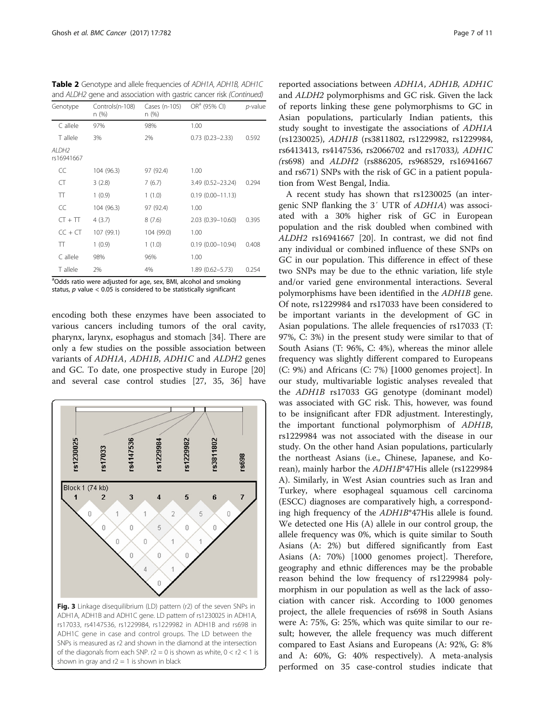<span id="page-6-0"></span>Table 2 Genotype and allele frequencies of ADH1A, ADH1B, ADH1C and ALDH2 gene and association with gastric cancer risk (Continued)

| Genotype                         | Controls(n-108)<br>n (%) | Cases (n-105)<br>n (%) | OR <sup>a</sup> (95% CI) | <i>p</i> -value |
|----------------------------------|--------------------------|------------------------|--------------------------|-----------------|
| C allele                         | 97%                      | 98%                    | 1.00                     |                 |
| T allele                         | 3%                       | 2%                     | $0.73(0.23 - 2.33)$      | 0.592           |
| AI DH <sub>2</sub><br>rs16941667 |                          |                        |                          |                 |
| CC                               | 104 (96.3)               | 97 (92.4)              | 1.00                     |                 |
| CT                               | 3(2.8)                   | 7(6.7)                 | 3.49 (0.52-23.24)        | 0.294           |
| π                                | 1(0.9)                   | 1(1.0)                 | $0.19(0.00 - 11.13)$     |                 |
| CC                               | 104 (96.3)               | 97 (92.4)              | 1.00                     |                 |
| $CT + TT$                        | 4(3.7)                   | 8(7.6)                 | 2.03 (0.39-10.60)        | 0.395           |
| $CC + CT$                        | 107 (99.1)               | 104 (99.0)             | 1.00                     |                 |
| π                                | 1(0.9)                   | 1(1.0)                 | $0.19(0.00 - 10.94)$     | 0.408           |
| C allele                         | 98%                      | 96%                    | 1.00                     |                 |
| T allele                         | 2%                       | 4%                     | 1.89 (0.62-5.73)         | 0.254           |

<sup>a</sup>Odds ratio were adjusted for age, sex, BMI, alcohol and smoking status,  $p$  value < 0.05 is considered to be statistically significant

encoding both these enzymes have been associated to various cancers including tumors of the oral cavity, pharynx, larynx, esophagus and stomach [[34\]](#page-10-0). There are only a few studies on the possible association between variants of ADH1A, ADH1B, ADH1C and ALDH2 genes and GC. To date, one prospective study in Europe [[20](#page-10-0)] and several case control studies [[27](#page-10-0), [35, 36\]](#page-10-0) have



ADH1A, ADH1B and ADH1C gene. LD pattern of rs1230025 in ADH1A, rs17033, rs4147536, rs1229984, rs1229982 in ADH1B and rs698 in ADH1C gene in case and control groups. The LD between the SNPs is measured as r2 and shown in the diamond at the intersection of the diagonals from each SNP.  $r2 = 0$  is shown as white,  $0 < r2 < 1$  is shown in gray and  $r2 = 1$  is shown in black

reported associations between ADH1A, ADH1B, ADH1C and ALDH2 polymorphisms and GC risk. Given the lack of reports linking these gene polymorphisms to GC in Asian populations, particularly Indian patients, this study sought to investigate the associations of ADH1A (rs1230025), ADH1B (rs3811802, rs1229982, rs1229984, rs6413413, rs4147536, rs2066702 and rs17033), ADH1C (rs698) and ALDH2 (rs886205, rs968529, rs16941667 and rs671) SNPs with the risk of GC in a patient population from West Bengal, India.

A recent study has shown that rs1230025 (an intergenic SNP flanking the 3′ UTR of ADH1A) was associated with a 30% higher risk of GC in European population and the risk doubled when combined with ALDH2 rs16941667 [[20](#page-10-0)]. In contrast, we did not find any individual or combined influence of these SNPs on GC in our population. This difference in effect of these two SNPs may be due to the ethnic variation, life style and/or varied gene environmental interactions. Several polymorphisms have been identified in the ADH1B gene. Of note, rs1229984 and rs17033 have been considered to be important variants in the development of GC in Asian populations. The allele frequencies of rs17033 (T: 97%, C: 3%) in the present study were similar to that of South Asians (T: 96%, C: 4%), whereas the minor allele frequency was slightly different compared to Europeans (C: 9%) and Africans (C: 7%) [1000 genomes project]. In our study, multivariable logistic analyses revealed that the ADH1B rs17033 GG genotype (dominant model) was associated with GC risk. This, however, was found to be insignificant after FDR adjustment. Interestingly, the important functional polymorphism of ADH1B, rs1229984 was not associated with the disease in our study. On the other hand Asian populations, particularly the northeast Asians (i.e., Chinese, Japanese, and Korean), mainly harbor the ADH1B\*47His allele (rs1229984 A). Similarly, in West Asian countries such as Iran and Turkey, where esophageal squamous cell carcinoma (ESCC) diagnoses are comparatively high, a corresponding high frequency of the ADH1B\*47His allele is found. We detected one His (A) allele in our control group, the allele frequency was 0%, which is quite similar to South Asians (A: 2%) but differed significantly from East Asians (A: 70%) [1000 genomes project]. Therefore, geography and ethnic differences may be the probable reason behind the low frequency of rs1229984 polymorphism in our population as well as the lack of association with cancer risk. According to 1000 genomes project, the allele frequencies of rs698 in South Asians were A: 75%, G: 25%, which was quite similar to our result; however, the allele frequency was much different compared to East Asians and Europeans (A: 92%, G: 8% and A: 60%, G: 40% respectively). A meta-analysis performed on 35 case-control studies indicate that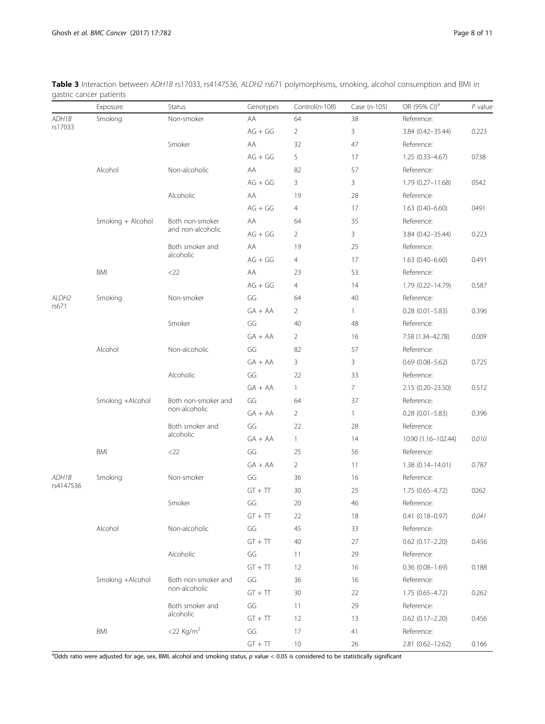<span id="page-7-0"></span>

| Table 3 Interaction between ADH1B rs17033, rs4147536, ALDH2 rs671 polymorphisms, smoking, alcohol consumption and BMI in |  |  |  |  |  |
|--------------------------------------------------------------------------------------------------------------------------|--|--|--|--|--|
| gastric cancer patients                                                                                                  |  |  |  |  |  |

|                  | Exposure          | Status                                                               | Genotypes                   | Control(n-108) | Case (n-105)   | OR (95% CI) <sup>a</sup> | $P$ value |
|------------------|-------------------|----------------------------------------------------------------------|-----------------------------|----------------|----------------|--------------------------|-----------|
| ADH1B<br>rs17033 | Smoking           | Non-smoker                                                           | AA                          | 64             | 38             | Reference:               |           |
|                  |                   |                                                                      | $AG + GG$                   | $\overline{2}$ | 3              | 3.84 (0.42-35.44)        | 0.223     |
|                  |                   | Smoker                                                               | AA                          | 32             | 47             | Reference:               |           |
|                  |                   |                                                                      | $AG + GG$                   | 5              | 17             | $1.25(0.33 - 4.67)$      | 0738      |
|                  | Alcohol           | Non-alcoholic                                                        | AA                          | 82             | 57             | Reference:               |           |
|                  |                   |                                                                      | $AG + GG$                   | 3              | 3              | $1.79(0.27 - 11.68)$     | 0542      |
|                  |                   | Alcoholic                                                            | AA                          | 19             | 28             | Reference:               |           |
|                  |                   |                                                                      | $AG + GG$                   | $\overline{4}$ | 17             | $1.63(0.40 - 6.60)$      | 0491      |
|                  | Smoking + Alcohol | Both non-smoker                                                      | AA                          | 64             | 35             | Reference:               |           |
|                  |                   | and non-alcoholic                                                    | $AG + GG$                   | $\overline{2}$ | 3              | 3.84 (0.42-35.44)        | 0.223     |
|                  |                   | Both smoker and                                                      | AA                          | 19             | 25             | Reference:               |           |
|                  |                   | alcoholic                                                            | $AG + GG$                   | 4              | 17             | $1.63(0.40 - 6.60)$      | 0.491     |
|                  | <b>BMI</b>        | $<$ 22                                                               | AA                          | 23             | 53             | Reference:               |           |
|                  |                   |                                                                      | $AG + GG$                   | 4              | 14             | 1.79 (0.22-14.79)        | 0.587     |
| ALDH2            | Smoking           | Non-smoker                                                           | GG                          | 64             | 40             | Reference:               |           |
| rs671            |                   |                                                                      | $GA + AA$                   | $\overline{2}$ | $\mathbf{1}$   | $0.28(0.01 - 5.83)$      | 0.396     |
|                  |                   | Smoker                                                               | GG                          | 40             | 48             | Reference:               |           |
|                  |                   |                                                                      | $GA + AA$                   | 2              | 16             | 7.58 (1.34-42.78)        | 0.009     |
|                  | Alcohol           | Non-alcoholic                                                        | GG                          | 82             | 57             | Reference:               |           |
|                  |                   |                                                                      | $GA + AA$                   | 3              | 3              | $0.69(0.08 - 5.62)$      | 0.725     |
|                  |                   | Alcoholic                                                            | GG                          | 22             | 33             | Reference:               |           |
|                  |                   |                                                                      | $GA + AA$                   | $\mathbf{1}$   | $\overline{7}$ | 2.15 (0.20-23.50)        | 0.512     |
|                  | Smoking +Alcohol  | Both non-smoker and<br>non-alcoholic<br>Both smoker and<br>alcoholic | GG                          | 64             | 37             | Reference:               |           |
|                  |                   |                                                                      | $GA + AA$                   | 2              | $\mathbf{1}$   | $0.28(0.01 - 5.83)$      | 0.396     |
|                  |                   |                                                                      | GG                          | 22             | 28             | Reference:               |           |
|                  |                   |                                                                      | $GA + AA$                   | $\mathbf{1}$   | 14             | 10.90 (1.16-102.44)      | 0.010     |
|                  | <b>BMI</b>        | $<$ 22                                                               | GG                          | 25             | 56             | Reference:               |           |
|                  |                   |                                                                      | $GA + AA$                   | $\overline{2}$ | 11             | $1.38(0.14 - 14.01)$     | 0.787     |
| ADH1B            | Smoking           | Non-smoker<br>Smoker                                                 | GG                          | 36             | 16             | Reference:               |           |
| rs4147536        |                   |                                                                      | $GT + TT$                   | 30             | 25             | 1.75 (0.65-4.72)         | 0262      |
|                  |                   |                                                                      | GG                          | 20             | 46             | Reference:               |           |
|                  |                   |                                                                      | $GT + TT$                   | 22             | 18             | $0.41(0.18 - 0.97)$      | 0.041     |
|                  | Alcohol           | Non-alcoholic                                                        | GG                          | 45             | 33             | Reference:               |           |
|                  |                   |                                                                      | $GT + TT$                   | 40             | 27             | $0.62$ (0.17-2.20)       | 0.456     |
|                  |                   | Alcoholic                                                            | GG                          | 11             | 29             | Reference:               |           |
|                  |                   |                                                                      | $GT + TT$                   | 12             | 16             | $0.36(0.08 - 1.69)$      | 0.188     |
|                  | Smoking +Alcohol  | Both non-smoker and<br>non-alcoholic<br>Both smoker and<br>alcoholic | GG                          | 36             | 16             | Reference:               |           |
|                  |                   |                                                                      | $GT + TT$                   | 30             | 22             | $1.75(0.65 - 4.72)$      | 0.262     |
|                  |                   |                                                                      | GG                          | 11             | 29             | Reference:               |           |
|                  |                   |                                                                      | $GT + TT$                   | 12             | 13             | $0.62$ (0.17-2.20)       | 0.456     |
|                  | BMI               | $<$ 22 Kg/m <sup>2</sup>                                             | GG                          | 17             | 41             | Reference:               |           |
|                  |                   |                                                                      | $\mathsf{GT} + \mathsf{TT}$ | 10             | 26             | 2.81 (0.62-12.62)        | 0.166     |

<sup>a</sup>Odds ratio were adjusted for age, sex, BMI, alcohol and smoking status, p value < 0.05 is considered to be statistically significant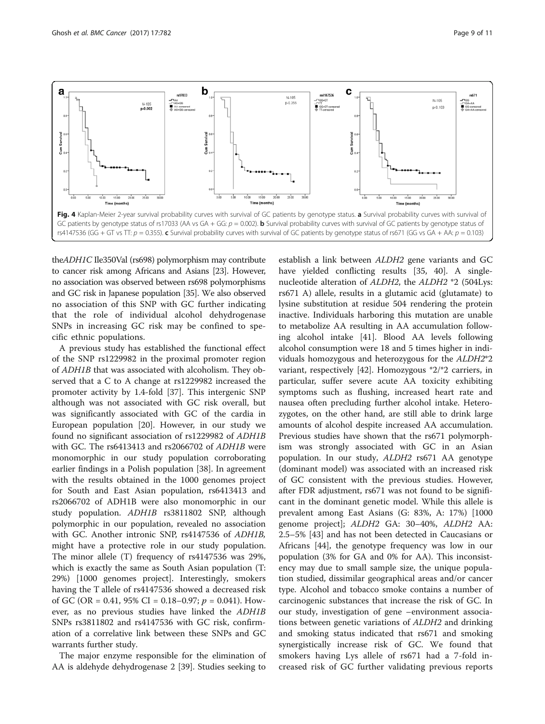<span id="page-8-0"></span>

theADH1C Ile350Val (rs698) polymorphism may contribute to cancer risk among Africans and Asians [\[23\]](#page-10-0). However, no association was observed between rs698 polymorphisms and GC risk in Japanese population [\[35](#page-10-0)]. We also observed no association of this SNP with GC further indicating that the role of individual alcohol dehydrogenase SNPs in increasing GC risk may be confined to specific ethnic populations.

A previous study has established the functional effect of the SNP rs1229982 in the proximal promoter region of ADH1B that was associated with alcoholism. They observed that a C to A change at rs1229982 increased the promoter activity by 1.4-fold [[37](#page-10-0)]. This intergenic SNP although was not associated with GC risk overall, but was significantly associated with GC of the cardia in European population [\[20](#page-10-0)]. However, in our study we found no significant association of rs1229982 of ADH1B with GC. The rs6413413 and rs2066702 of ADH1B were monomorphic in our study population corroborating earlier findings in a Polish population [[38\]](#page-10-0). In agreement with the results obtained in the 1000 genomes project for South and East Asian population, rs6413413 and rs2066702 of ADH1B were also monomorphic in our study population. ADH1B rs3811802 SNP, although polymorphic in our population, revealed no association with GC. Another intronic SNP, rs4147536 of ADH1B, might have a protective role in our study population. The minor allele (T) frequency of rs4147536 was 29%, which is exactly the same as South Asian population (T: 29%) [1000 genomes project]. Interestingly, smokers having the T allele of rs4147536 showed a decreased risk of GC (OR = 0.41, 95% CI = 0.18–0.97;  $p = 0.041$ ). However, as no previous studies have linked the ADH1B SNPs rs3811802 and rs4147536 with GC risk, confirmation of a correlative link between these SNPs and GC warrants further study.

The major enzyme responsible for the elimination of AA is aldehyde dehydrogenase 2 [[39\]](#page-10-0). Studies seeking to

establish a link between ALDH2 gene variants and GC have yielded conflicting results [\[35, 40](#page-10-0)]. A singlenucleotide alteration of ALDH2, the ALDH2 \*2 (504Lys: rs671 A) allele, results in a glutamic acid (glutamate) to lysine substitution at residue 504 rendering the protein inactive. Individuals harboring this mutation are unable to metabolize AA resulting in AA accumulation following alcohol intake [[41](#page-10-0)]. Blood AA levels following alcohol consumption were 18 and 5 times higher in individuals homozygous and heterozygous for the ALDH2\*2 variant, respectively [\[42](#page-10-0)]. Homozygous \*2/\*2 carriers, in particular, suffer severe acute AA toxicity exhibiting symptoms such as flushing, increased heart rate and nausea often precluding further alcohol intake. Heterozygotes, on the other hand, are still able to drink large amounts of alcohol despite increased AA accumulation. Previous studies have shown that the rs671 polymorphism was strongly associated with GC in an Asian population. In our study, ALDH2 rs671 AA genotype (dominant model) was associated with an increased risk of GC consistent with the previous studies. However, after FDR adjustment, rs671 was not found to be significant in the dominant genetic model. While this allele is prevalent among East Asians (G: 83%, A: 17%) [1000 genome project]; ALDH2 GA: 30–40%, ALDH2 AA: 2.5–5% [[43\]](#page-10-0) and has not been detected in Caucasians or Africans [[44\]](#page-10-0), the genotype frequency was low in our population (3% for GA and 0% for AA). This inconsistency may due to small sample size, the unique population studied, dissimilar geographical areas and/or cancer type. Alcohol and tobacco smoke contains a number of carcinogenic substances that increase the risk of GC. In our study, investigation of gene –environment associations between genetic variations of ALDH2 and drinking and smoking status indicated that rs671 and smoking synergistically increase risk of GC. We found that smokers having Lys allele of rs671 had a 7-fold increased risk of GC further validating previous reports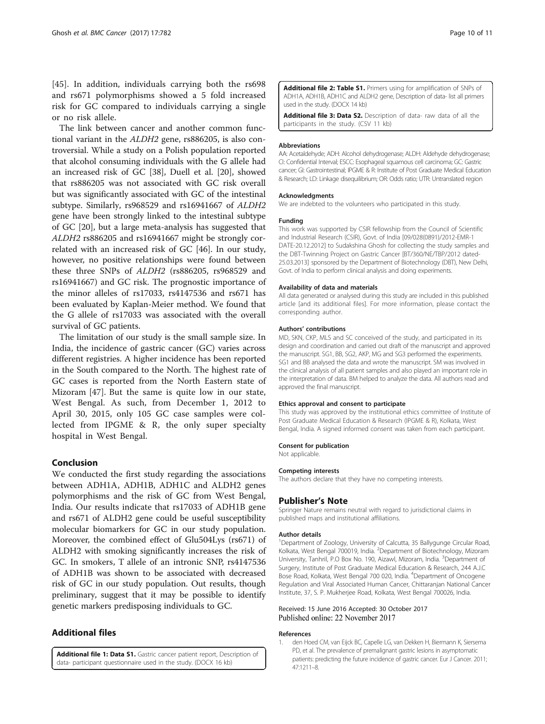<span id="page-9-0"></span>[[45\]](#page-10-0). In addition, individuals carrying both the rs698 and rs671 polymorphisms showed a 5 fold increased risk for GC compared to individuals carrying a single or no risk allele.

The link between cancer and another common functional variant in the ALDH2 gene, rs886205, is also controversial. While a study on a Polish population reported that alcohol consuming individuals with the G allele had an increased risk of GC [\[38](#page-10-0)], Duell et al. [\[20](#page-10-0)], showed that rs886205 was not associated with GC risk overall but was significantly associated with GC of the intestinal subtype. Similarly, rs968529 and rs16941667 of ALDH2 gene have been strongly linked to the intestinal subtype of GC [[20\]](#page-10-0), but a large meta-analysis has suggested that ALDH2 rs886205 and rs16941667 might be strongly correlated with an increased risk of GC [\[46](#page-10-0)]. In our study, however, no positive relationships were found between these three SNPs of ALDH2 (rs886205, rs968529 and rs16941667) and GC risk. The prognostic importance of the minor alleles of rs17033, rs4147536 and rs671 has been evaluated by Kaplan-Meier method. We found that the G allele of rs17033 was associated with the overall survival of GC patients.

The limitation of our study is the small sample size. In India, the incidence of gastric cancer (GC) varies across different registries. A higher incidence has been reported in the South compared to the North. The highest rate of GC cases is reported from the North Eastern state of Mizoram [[47](#page-10-0)]. But the same is quite low in our state, West Bengal. As such, from December 1, 2012 to April 30, 2015, only 105 GC case samples were collected from IPGME & R, the only super specialty hospital in West Bengal.

#### Conclusion

We conducted the first study regarding the associations between ADH1A, ADH1B, ADH1C and ALDH2 genes polymorphisms and the risk of GC from West Bengal, India. Our results indicate that rs17033 of ADH1B gene and rs671 of ALDH2 gene could be useful susceptibility molecular biomarkers for GC in our study population. Moreover, the combined effect of Glu504Lys (rs671) of ALDH2 with smoking significantly increases the risk of GC. In smokers, T allele of an intronic SNP, rs4147536 of ADH1B was shown to be associated with decreased risk of GC in our study population. Out results, though preliminary, suggest that it may be possible to identify genetic markers predisposing individuals to GC.

#### Additional files

[Additional file 1: Data S1.](dx.doi.org/10.1186/s12885-017-3713-7) Gastric cancer patient report, Description of data- participant questionnaire used in the study. (DOCX 16 kb)

[Additional file 2: Table S1.](dx.doi.org/10.1186/s12885-017-3713-7) Primers using for amplification of SNPs of ADH1A, ADH1B, ADH1C and ALDH2 gene, Description of data- list all primers used in the study. (DOCX 14 kb)

[Additional file 3: Data S2.](dx.doi.org/10.1186/s12885-017-3713-7) Description of data- raw data of all the participants in the study. (CSV 11 kb)

#### Abbreviations

AA: Acetaldehyde; ADH: Alcohol dehydrogenase; ALDH: Aldehyde dehydrogenase; CI: Confidential Interval; ESCC: Esophageal squamous cell carcinoma; GC: Gastric cancer; GI: Gastrointestinal; IPGME & R: Institute of Post Graduate Medical Education & Research; LD: Linkage disequilibrium; OR: Odds ratio; UTR: Untranslated region

#### Acknowledgments

We are indebted to the volunteers who participated in this study.

#### Funding

This work was supported by CSIR fellowship from the Council of Scientific and Industrial Research (CSIR), Govt. of India [09/028(0891)/2012-EMR-1 DATE-20.12.2012] to Sudakshina Ghosh for collecting the study samples and the DBT-Twinning Project on Gastric Cancer [BT/360/NE/TBP/2012 dated-25.03.2013] sponsored by the Department of Biotechnology (DBT), New Delhi, Govt. of India to perform clinical analysis and doing experiments.

#### Availability of data and materials

All data generated or analysed during this study are included in this published article [and its additional files]. For more information, please contact the corresponding author.

#### Authors' contributions

MD, SKN, CKP, MLS and SC conceived of the study, and participated in its design and coordination and carried out draft of the manuscript and approved the manuscript. SG1, BB, SG2, AKP, MG and SG3 performed the experiments. SG1 and BB analysed the data and wrote the manuscript. SM was involved in the clinical analysis of all patient samples and also played an important role in the interpretation of data. BM helped to analyze the data. All authors read and approved the final manuscript.

#### Ethics approval and consent to participate

This study was approved by the institutional ethics committee of Institute of Post Graduate Medical Education & Research (IPGME & R), Kolkata, West Bengal, India. A signed informed consent was taken from each participant.

#### Consent for publication

Not applicable.

#### Competing interests

The authors declare that they have no competing interests.

#### Publisher's Note

Springer Nature remains neutral with regard to jurisdictional claims in published maps and institutional affiliations.

#### Author details

<sup>1</sup>Department of Zoology, University of Calcutta, 35 Ballygunge Circular Road, Kolkata, West Bengal 700019, India. <sup>2</sup>Department of Biotechnology, Mizoram University, Tanhril, P.O Box No. 190, Aizawl, Mizoram, India. <sup>3</sup>Department of Surgery, Institute of Post Graduate Medical Education & Research, 244 A.J.C Bose Road, Kolkata, West Bengal 700 020, India. <sup>4</sup> Department of Oncogene Regulation and Viral Associated Human Cancer, Chittaranjan National Cancer Institute, 37, S. P. Mukherjee Road, Kolkata, West Bengal 700026, India.

#### Received: 15 June 2016 Accepted: 30 October 2017 Published online: 22 November 2017

#### References

1. den Hoed CM, van Eijck BC, Capelle LG, van Dekken H, Biermann K, Siersema PD, et al. The prevalence of premalignant gastric lesions in asymptomatic patients: predicting the future incidence of gastric cancer. Eur J Cancer. 2011; 47:1211–8.